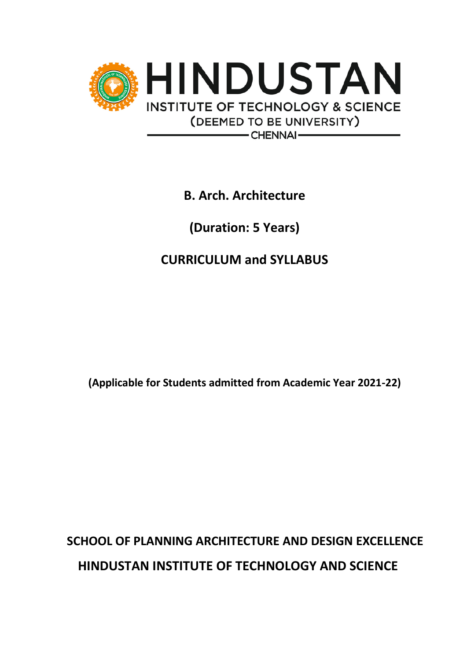

**B. Arch. Architecture**

**(Duration: 5 Years)**

**CURRICULUM and SYLLABUS**

**(Applicable for Students admitted from Academic Year 2021-22)**

# **SCHOOL OF PLANNING ARCHITECTURE AND DESIGN EXCELLENCE HINDUSTAN INSTITUTE OF TECHNOLOGY AND SCIENCE**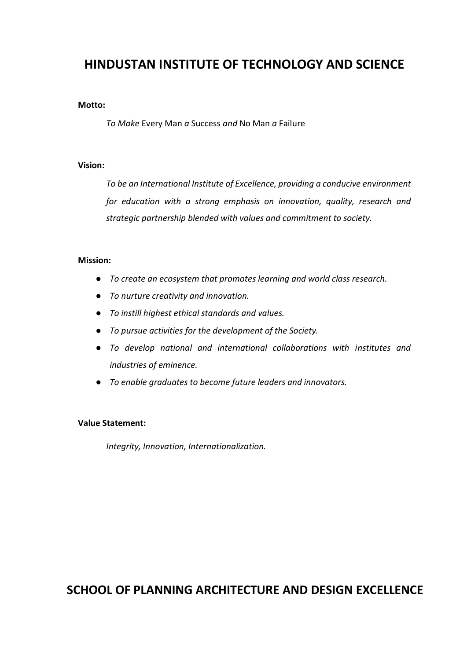# **HINDUSTAN INSTITUTE OF TECHNOLOGY AND SCIENCE**

#### **Motto:**

*To Make* Every Man *a* Success *and* No Man *a* Failure

#### **Vision:**

*To be an International Institute of Excellence, providing a conducive environment for education with a strong emphasis on innovation, quality, research and strategic partnership blended with values and commitment to society.*

#### **Mission:**

- *To create an ecosystem that promotes learning and world class research.*
- *To nurture creativity and innovation.*
- *To instill highest ethical standards and values.*
- *To pursue activities for the development of the Society.*
- *To develop national and international collaborations with institutes and industries of eminence.*
- *To enable graduates to become future leaders and innovators.*

### **Value Statement:**

*Integrity, Innovation, Internationalization.* 

**SCHOOL OF PLANNING ARCHITECTURE AND DESIGN EXCELLENCE**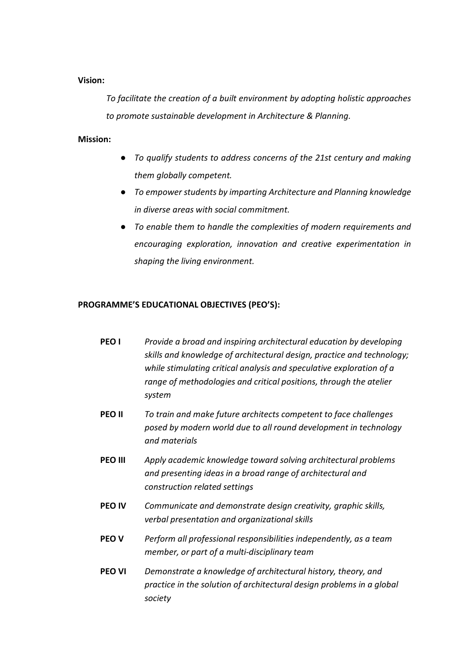### **Vision:**

*To facilitate the creation of a built environment by adopting holistic approaches to promote sustainable development in Architecture & Planning.*

### **Mission:**

- *To qualify students to address concerns of the 21st century and making them globally competent.*
- *To empower students by imparting Architecture and Planning knowledge in diverse areas with social commitment.*
- *To enable them to handle the complexities of modern requirements and encouraging exploration, innovation and creative experimentation in shaping the living environment.*

### **PROGRAMME'S EDUCATIONAL OBJECTIVES (PEO'S):**

- **PEO I** *Provide a broad and inspiring architectural education by developing skills and knowledge of architectural design, practice and technology; while stimulating critical analysis and speculative exploration of a range of methodologies and critical positions, through the atelier system*
- **PEO II** *To train and make future architects competent to face challenges posed by modern world due to all round development in technology and materials*
- **PEO III** *Apply academic knowledge toward solving architectural problems and presenting ideas in a broad range of architectural and construction related settings*
- **PEO IV** *Communicate and demonstrate design creativity, graphic skills, verbal presentation and organizational skills*
- **PEO V** *Perform all professional responsibilities independently, as a team member, or part of a multi-disciplinary team*
- **PEO VI** *Demonstrate a knowledge of architectural history, theory, and practice in the solution of architectural design problems in a global society*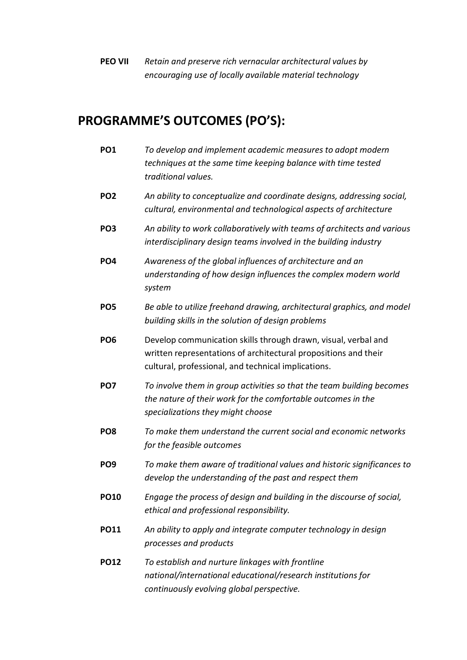**PEO VII** *Retain and preserve rich vernacular architectural values by encouraging use of locally available material technology*

# **PROGRAMME'S OUTCOMES (PO'S):**

**PO1** *To develop and implement academic measures to adopt modern techniques at the same time keeping balance with time tested traditional values.* **PO2** *An ability to conceptualize and coordinate designs, addressing social, cultural, environmental and technological aspects of architecture* **PO3** *An ability to work collaboratively with teams of architects and various interdisciplinary design teams involved in the building industry* **PO4** *Awareness of the global influences of architecture and an understanding of how design influences the complex modern world system* **PO5** *Be able to utilize freehand drawing, architectural graphics, and model building skills in the solution of design problems* **PO6** Develop communication skills through drawn, visual, verbal and written representations of architectural propositions and their cultural, professional, and technical implications. **PO7** *To involve them in group activities so that the team building becomes the nature of their work for the comfortable outcomes in the specializations they might choose* **PO8** *To make them understand the current social and economic networks for the feasible outcomes* **PO9** *To make them aware of traditional values and historic significances to develop the understanding of the past and respect them* **PO10** *Engage the process of design and building in the discourse of social, ethical and professional responsibility.* **PO11** *An ability to apply and integrate computer technology in design processes and products* **PO12** *To establish and nurture linkages with frontline national/international educational/research institutions for continuously evolving global perspective.*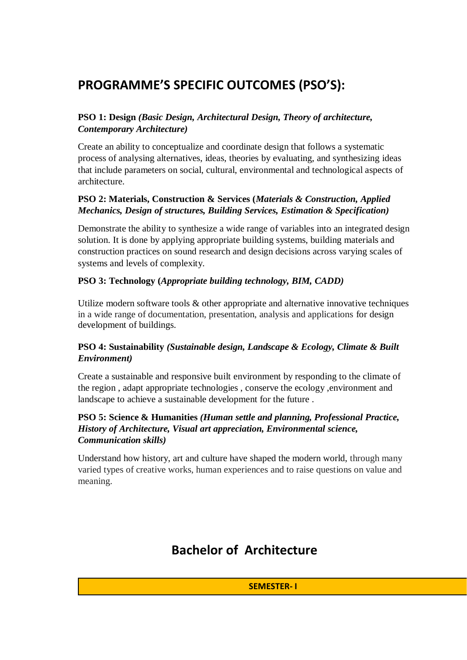# **PROGRAMME'S SPECIFIC OUTCOMES (PSO'S):**

## **PSO 1: Design** *(Basic Design, Architectural Design, Theory of architecture, Contemporary Architecture)*

Create an ability to conceptualize and coordinate design that follows a systematic process of analysing alternatives, ideas, theories by evaluating, and synthesizing ideas that include parameters on social, cultural, environmental and technological aspects of architecture.

## **PSO 2: Materials, Construction & Services (***Materials & Construction, Applied Mechanics, Design of structures, Building Services, Estimation & Specification)*

Demonstrate the ability to synthesize a wide range of variables into an integrated design solution. It is done by applying appropriate building systems, building materials and construction practices on sound research and design decisions across varying scales of systems and levels of complexity.

### **PSO 3: Technology (***Appropriate building technology, BIM, CADD)*

Utilize modern software tools  $\&$  other appropriate and alternative innovative techniques in a wide range of documentation, presentation, analysis and applications for design development of buildings.

## **PSO 4: Sustainability** *(Sustainable design, Landscape & Ecology, Climate & Built Environment)*

Create a sustainable and responsive built environment by responding to the climate of the region , adapt appropriate technologies , conserve the ecology ,environment and landscape to achieve a sustainable development for the future .

### **PSO 5: Science & Humanities** *(Human settle and planning, Professional Practice, History of Architecture, Visual art appreciation, Environmental science, Communication skills)*

Understand how history, art and culture have shaped the modern world, through many varied types of creative works, human experiences and to raise questions on value and meaning.

# **Bachelor of Architecture**

**SEMESTER- I**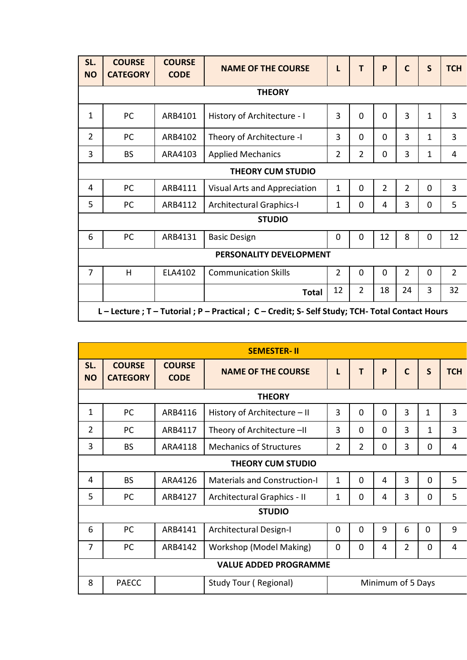| SL.<br><b>NO</b> | <b>COURSE</b><br><b>CATEGORY</b>                                                                                                                     | <b>COURSE</b><br><b>CODE</b> | <b>NAME OF THE COURSE</b>       | L              | T              | P              | $\mathbf C$    | S            | <b>TCH</b>     |  |  |
|------------------|------------------------------------------------------------------------------------------------------------------------------------------------------|------------------------------|---------------------------------|----------------|----------------|----------------|----------------|--------------|----------------|--|--|
|                  |                                                                                                                                                      |                              | <b>THEORY</b>                   |                |                |                |                |              |                |  |  |
| $\mathbf{1}$     | PC                                                                                                                                                   | ARB4101                      | History of Architecture - I     | 3              | $\Omega$       | $\Omega$       | $\overline{3}$ | 1            | $\overline{3}$ |  |  |
| $\overline{2}$   | PC                                                                                                                                                   | ARB4102                      | Theory of Architecture -I       | 3              | $\Omega$       | $\Omega$       | $\overline{3}$ | $\mathbf{1}$ | 3              |  |  |
| 3                | <b>BS</b>                                                                                                                                            | ARA4103                      | <b>Applied Mechanics</b>        | $\overline{2}$ | $\overline{2}$ | $\mathbf 0$    | 3              | $\mathbf 1$  | 4              |  |  |
|                  | <b>THEORY CUM STUDIO</b>                                                                                                                             |                              |                                 |                |                |                |                |              |                |  |  |
| 4                | PC                                                                                                                                                   | ARB4111                      | Visual Arts and Appreciation    | $\mathbf 1$    | $\mathbf 0$    | $\overline{2}$ | $\overline{2}$ | $\mathbf 0$  | $\overline{3}$ |  |  |
| 5                | PC                                                                                                                                                   | ARB4112                      | <b>Architectural Graphics-I</b> | $\mathbf 1$    | $\mathbf 0$    | 4              | 3              | $\mathbf 0$  | 5              |  |  |
|                  |                                                                                                                                                      |                              | <b>STUDIO</b>                   |                |                |                |                |              |                |  |  |
| 6                | PC                                                                                                                                                   | ARB4131                      | <b>Basic Design</b>             | $\mathbf 0$    | $\mathbf 0$    | 12             | 8              | $\mathbf 0$  | 12             |  |  |
|                  |                                                                                                                                                      |                              | <b>PERSONALITY DEVELOPMENT</b>  |                |                |                |                |              |                |  |  |
| $\overline{7}$   | $\overline{2}$<br>$\overline{2}$<br>$\overline{2}$<br>H<br>ELA4102<br>$\overline{0}$<br>$\overline{0}$<br>$\mathbf 0$<br><b>Communication Skills</b> |                              |                                 |                |                |                |                |              |                |  |  |
|                  | 12<br>$\overline{2}$<br>32<br>18<br>24<br>3<br><b>Total</b>                                                                                          |                              |                                 |                |                |                |                |              |                |  |  |
|                  | L-Lecture; T-Tutorial; P-Practical; C-Credit; S-Self Study; TCH-Total Contact Hours                                                                  |                              |                                 |                |                |                |                |              |                |  |  |

|                  | <b>SEMESTER-II</b>               |                              |                                     |                |                |          |                   |              |                |  |  |  |
|------------------|----------------------------------|------------------------------|-------------------------------------|----------------|----------------|----------|-------------------|--------------|----------------|--|--|--|
| SL.<br><b>NO</b> | <b>COURSE</b><br><b>CATEGORY</b> | <b>COURSE</b><br><b>CODE</b> | <b>NAME OF THE COURSE</b>           | L              | T              | P        | $\mathsf{C}$      | $\mathsf{S}$ | <b>TCH</b>     |  |  |  |
|                  |                                  |                              | <b>THEORY</b>                       |                |                |          |                   |              |                |  |  |  |
| $\mathbf{1}$     | PC                               | ARB4116                      | History of Architecture - II        | 3              | $\Omega$       | $\Omega$ | $\overline{3}$    | $\mathbf{1}$ | $\overline{3}$ |  |  |  |
| $\overline{2}$   | PC                               | ARB4117                      | Theory of Architecture -II          | 3              | 0              | 0        | 3                 | 1            | $\overline{3}$ |  |  |  |
| 3                | <b>BS</b>                        | ARA4118                      | <b>Mechanics of Structures</b>      | $\overline{2}$ | $\overline{2}$ | 0        | 3                 | 0            | $\overline{4}$ |  |  |  |
|                  | <b>THEORY CUM STUDIO</b>         |                              |                                     |                |                |          |                   |              |                |  |  |  |
| 4                | <b>BS</b>                        | ARA4126                      | <b>Materials and Construction-I</b> | $\mathbf 1$    | $\Omega$       | 4        | $\overline{3}$    | $\Omega$     | 5              |  |  |  |
| 5                | <b>PC</b>                        | ARB4127                      | Architectural Graphics - II         | 1              | 0              | 4        | 3                 | 0            | 5              |  |  |  |
|                  |                                  |                              | <b>STUDIO</b>                       |                |                |          |                   |              |                |  |  |  |
| 6                | <b>PC</b>                        | ARB4141                      | Architectural Design-I              | $\mathbf 0$    | $\mathbf 0$    | 9        | 6                 | $\mathbf 0$  | 9              |  |  |  |
| $\overline{7}$   | PC                               | ARB4142                      | Workshop (Model Making)             | $\Omega$       | $\Omega$       | 4        | $\overline{2}$    | 0            | 4              |  |  |  |
|                  | <b>VALUE ADDED PROGRAMME</b>     |                              |                                     |                |                |          |                   |              |                |  |  |  |
| 8                | <b>PAECC</b>                     |                              | Study Tour (Regional)               |                |                |          | Minimum of 5 Days |              |                |  |  |  |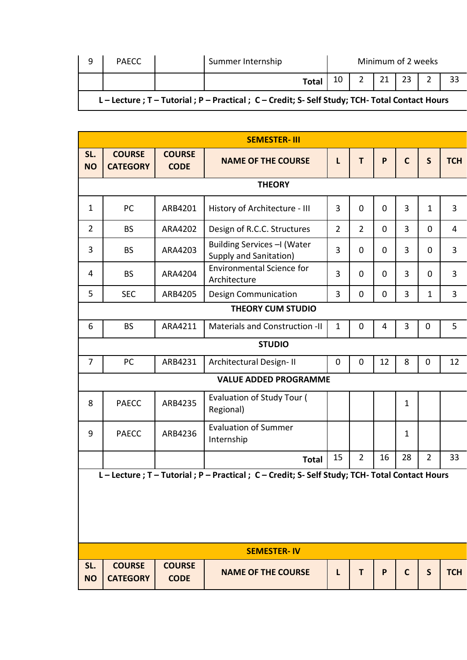| q | PAECC |                                                                                                  | Summer Internship |                 | Minimum of 2 weeks |  |  |                  |  |
|---|-------|--------------------------------------------------------------------------------------------------|-------------------|-----------------|--------------------|--|--|------------------|--|
|   |       |                                                                                                  | <b>Total</b>      | 10 <sup>1</sup> |                    |  |  | 21   23   2   33 |  |
|   |       | L - Lecture ; T - Tutorial ; P - Practical ; C - Credit; S- Self Study; TCH- Total Contact Hours |                   |                 |                    |  |  |                  |  |

|                  | <b>SEMESTER-III</b>                                                                                                         |                              |                                                                                     |                |                |                |              |                |                |  |  |  |
|------------------|-----------------------------------------------------------------------------------------------------------------------------|------------------------------|-------------------------------------------------------------------------------------|----------------|----------------|----------------|--------------|----------------|----------------|--|--|--|
| SL.<br><b>NO</b> | <b>COURSE</b><br><b>CATEGORY</b>                                                                                            | <b>COURSE</b><br><b>CODE</b> | <b>NAME OF THE COURSE</b>                                                           | L              | T              | P              | $\mathbf C$  | $\mathsf{S}$   | <b>TCH</b>     |  |  |  |
|                  |                                                                                                                             |                              | <b>THEORY</b>                                                                       |                |                |                |              |                |                |  |  |  |
| $\mathbf{1}$     | PC                                                                                                                          | ARB4201                      | History of Architecture - III                                                       | 3              | 0              | $\mathbf 0$    | 3            | $\mathbf{1}$   | 3              |  |  |  |
| $\overline{2}$   | <b>BS</b>                                                                                                                   | ARA4202                      | Design of R.C.C. Structures                                                         | $\overline{2}$ | $\overline{2}$ | $\mathbf 0$    | 3            | 0              | $\overline{4}$ |  |  |  |
| 3                | <b>BS</b>                                                                                                                   | ARA4203                      | Building Services - I (Water<br><b>Supply and Sanitation)</b>                       | 3              | 0              | $\mathbf 0$    | 3            | 0              | 3              |  |  |  |
| 4                | <b>BS</b>                                                                                                                   | ARA4204                      | <b>Environmental Science for</b><br>Architecture                                    | 3              | $\mathbf 0$    | $\overline{0}$ | 3            | 0              | 3              |  |  |  |
| 5                | <b>SEC</b>                                                                                                                  | ARB4205                      | <b>Design Communication</b>                                                         | 3              | 0              | $\overline{0}$ | 3            | $\mathbf 1$    | 3              |  |  |  |
|                  |                                                                                                                             |                              | <b>THEORY CUM STUDIO</b>                                                            |                |                |                |              |                |                |  |  |  |
| 6                | <b>BS</b><br>ARA4211<br>5<br><b>Materials and Construction -II</b><br>$\mathbf{1}$<br>0<br>3<br>$\pmb{0}$<br>$\overline{4}$ |                              |                                                                                     |                |                |                |              |                |                |  |  |  |
|                  |                                                                                                                             |                              | <b>STUDIO</b>                                                                       |                |                |                |              |                |                |  |  |  |
| 7                | PC                                                                                                                          | ARB4231                      | Architectural Design-II                                                             | 0              | 0              | 12             | 8            | $\pmb{0}$      | 12             |  |  |  |
|                  |                                                                                                                             |                              | <b>VALUE ADDED PROGRAMME</b>                                                        |                |                |                |              |                |                |  |  |  |
| 8                | <b>PAECC</b>                                                                                                                | ARB4235                      | Evaluation of Study Tour (<br>Regional)                                             |                |                |                | $\mathbf{1}$ |                |                |  |  |  |
| 9                | <b>PAECC</b>                                                                                                                | ARB4236                      | <b>Evaluation of Summer</b><br>Internship                                           |                |                |                | $\mathbf 1$  |                |                |  |  |  |
|                  |                                                                                                                             |                              | <b>Total</b>                                                                        | 15             | $\overline{2}$ | 16             | 28           | $\overline{2}$ | 33             |  |  |  |
|                  |                                                                                                                             |                              | L-Lecture; T-Tutorial; P-Practical; C-Credit; S-Self Study; TCH-Total Contact Hours |                |                |                |              |                |                |  |  |  |
|                  |                                                                                                                             |                              |                                                                                     |                |                |                |              |                |                |  |  |  |
|                  |                                                                                                                             |                              |                                                                                     |                |                |                |              |                |                |  |  |  |
|                  |                                                                                                                             |                              |                                                                                     |                |                |                |              |                |                |  |  |  |
|                  |                                                                                                                             |                              | <b>SEMESTER-IV</b>                                                                  |                |                |                |              |                |                |  |  |  |
| SL.              | <b>COURSE</b>                                                                                                               | <b>COURSE</b>                |                                                                                     |                |                |                |              |                |                |  |  |  |

**NAME OF THE COURSE L T P C S TCH**

**NO**

**CATEGORY**

**CODE**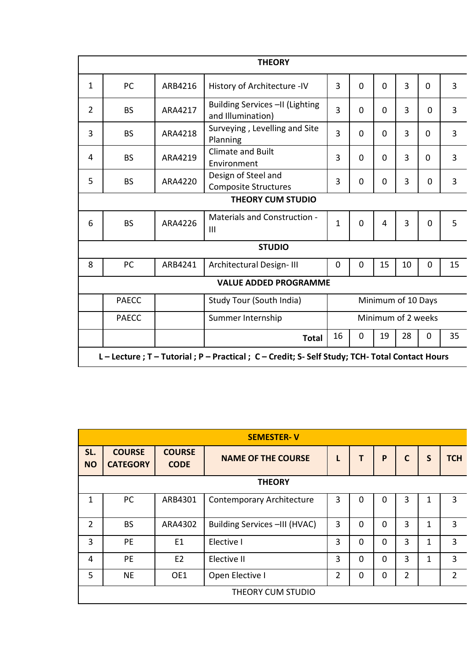| <b>THEORY</b> |                                                                                     |         |                                                       |              |              |                         |                    |          |                |  |  |
|---------------|-------------------------------------------------------------------------------------|---------|-------------------------------------------------------|--------------|--------------|-------------------------|--------------------|----------|----------------|--|--|
| $\mathbf{1}$  | PC                                                                                  | ARB4216 | History of Architecture -IV                           | 3            | $\mathbf{0}$ | $\overline{0}$          | $\overline{3}$     | $\Omega$ | $\overline{3}$ |  |  |
| 2             | <b>BS</b>                                                                           | ARA4217 | Building Services -II (Lighting<br>and Illumination)  | 3            | $\Omega$     | 0                       | $\overline{3}$     | 0        | 3              |  |  |
| 3             | <b>BS</b>                                                                           | ARA4218 | Surveying, Levelling and Site<br>Planning             | 3            | $\Omega$     | 0                       | 3                  | $\Omega$ | 3              |  |  |
| 4             | <b>BS</b>                                                                           | ARA4219 | <b>Climate and Built</b><br>Environment               | 3            | $\mathbf{0}$ | 0                       | $\overline{3}$     | $\Omega$ | 3              |  |  |
| 5             | <b>BS</b>                                                                           | ARA4220 | Design of Steel and<br><b>Composite Structures</b>    | 3            | 0            | 0                       | 3                  | 0        | 3              |  |  |
|               | <b>THEORY CUM STUDIO</b>                                                            |         |                                                       |              |              |                         |                    |          |                |  |  |
| 6             | <b>BS</b>                                                                           | ARA4226 | <b>Materials and Construction -</b><br>$\mathbf{III}$ | $\mathbf{1}$ | 0            | $\overline{\mathbf{4}}$ | $\overline{3}$     | $\Omega$ | 5              |  |  |
|               |                                                                                     |         | <b>STUDIO</b>                                         |              |              |                         |                    |          |                |  |  |
| 8             | PC                                                                                  | ARB4241 | Architectural Design-III                              | 0            | 0            | 15                      | 10                 | 0        | 15             |  |  |
|               |                                                                                     |         | <b>VALUE ADDED PROGRAMME</b>                          |              |              |                         |                    |          |                |  |  |
|               | <b>PAECC</b>                                                                        |         | Study Tour (South India)                              |              |              |                         | Minimum of 10 Days |          |                |  |  |
|               | Minimum of 2 weeks<br><b>PAECC</b><br>Summer Internship                             |         |                                                       |              |              |                         |                    |          |                |  |  |
|               | 16<br>19<br>28<br>35<br>$\mathbf 0$<br>0<br><b>Total</b>                            |         |                                                       |              |              |                         |                    |          |                |  |  |
|               | L-Lecture; T-Tutorial; P-Practical; C-Credit; S-Self Study; TCH-Total Contact Hours |         |                                                       |              |              |                         |                    |          |                |  |  |

|                  | <b>SEMESTER-V</b>                |                              |                                  |                |          |          |                |              |                |  |  |  |
|------------------|----------------------------------|------------------------------|----------------------------------|----------------|----------|----------|----------------|--------------|----------------|--|--|--|
| SL.<br><b>NO</b> | <b>COURSE</b><br><b>CATEGORY</b> | <b>COURSE</b><br><b>CODE</b> | <b>NAME OF THE COURSE</b>        | L              |          | P        | $\mathbf C$    | $\mathsf{S}$ | <b>TCH</b>     |  |  |  |
|                  |                                  |                              | <b>THEORY</b>                    |                |          |          |                |              |                |  |  |  |
| 1                | PC                               | ARB4301                      | <b>Contemporary Architecture</b> | 3              | $\Omega$ | $\Omega$ | 3              | 1            | 3              |  |  |  |
| 2                | <b>BS</b>                        | ARA4302                      | Building Services -III (HVAC)    | 3              | $\Omega$ | $\Omega$ | 3              | 1            | $\overline{3}$ |  |  |  |
| 3                | PE                               | E1                           | Elective I                       | 3              | $\Omega$ | $\Omega$ | 3              | 1            | 3              |  |  |  |
| 4                | <b>PE</b>                        | E2                           | Elective II                      | 3              | $\Omega$ | $\Omega$ | 3              | 1            | 3              |  |  |  |
| 5                | <b>NE</b>                        | OE1                          | Open Elective I                  | $\overline{2}$ | $\Omega$ | $\Omega$ | $\overline{2}$ |              | $\overline{2}$ |  |  |  |
|                  | THEORY CUM STUDIO                |                              |                                  |                |          |          |                |              |                |  |  |  |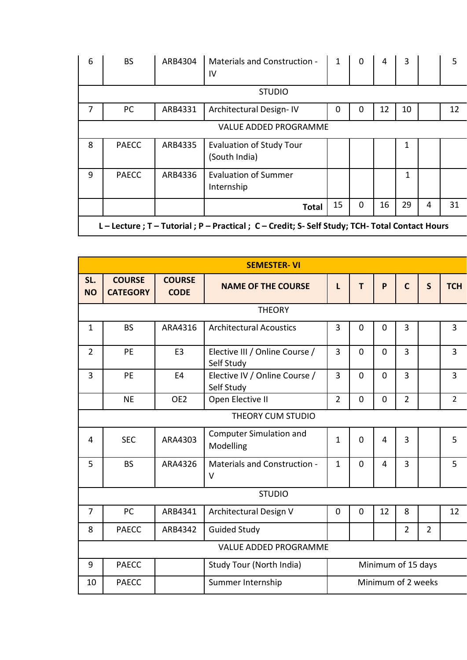| 6 | <b>BS</b>                                                                                        | ARB4304 | Materials and Construction -<br>IV               | 1  | $\Omega$ | 4  | 3  |   | 5  |  |
|---|--------------------------------------------------------------------------------------------------|---------|--------------------------------------------------|----|----------|----|----|---|----|--|
|   |                                                                                                  |         | <b>STUDIO</b>                                    |    |          |    |    |   |    |  |
| 7 | PC                                                                                               | ARB4331 | Architectural Design-IV                          | 0  | 0        | 12 | 10 |   | 12 |  |
|   |                                                                                                  |         | <b>VALUE ADDED PROGRAMME</b>                     |    |          |    |    |   |    |  |
| 8 | <b>PAECC</b>                                                                                     | ARB4335 | <b>Evaluation of Study Tour</b><br>(South India) |    |          |    | 1  |   |    |  |
| 9 | <b>PAECC</b>                                                                                     | ARB4336 | <b>Evaluation of Summer</b><br>Internship        |    |          |    | 1  |   |    |  |
|   |                                                                                                  |         | <b>Total</b>                                     | 15 | $\Omega$ | 16 | 29 | 4 | 31 |  |
|   | L - Lecture ; T - Tutorial ; P - Practical ; C - Credit; S- Self Study; TCH- Total Contact Hours |         |                                                  |    |          |    |    |   |    |  |

|                  | <b>SEMESTER-VI</b>               |                              |                                              |                    |             |             |                |                |                |  |  |
|------------------|----------------------------------|------------------------------|----------------------------------------------|--------------------|-------------|-------------|----------------|----------------|----------------|--|--|
| SL.<br><b>NO</b> | <b>COURSE</b><br><b>CATEGORY</b> | <b>COURSE</b><br><b>CODE</b> | <b>NAME OF THE COURSE</b>                    | L                  | T           | P           | $\mathsf{C}$   | $\mathsf{S}$   | <b>TCH</b>     |  |  |
|                  |                                  |                              | <b>THEORY</b>                                |                    |             |             |                |                |                |  |  |
| $\mathbf{1}$     | <b>BS</b>                        | ARA4316                      | <b>Architectural Acoustics</b>               | 3                  | $\mathbf 0$ | $\mathbf 0$ | 3              |                | 3              |  |  |
| $\overline{2}$   | <b>PE</b>                        | E <sub>3</sub>               | Elective III / Online Course /<br>Self Study | 3                  | $\Omega$    | $\Omega$    | $\overline{3}$ |                | 3              |  |  |
| 3                | <b>PE</b>                        | E <sub>4</sub>               | Elective IV / Online Course /<br>Self Study  | 3                  | $\mathbf 0$ | $\mathbf 0$ | 3              |                | 3              |  |  |
|                  | <b>NE</b>                        | OE <sub>2</sub>              | Open Elective II                             | $\overline{2}$     | $\mathbf 0$ | $\mathbf 0$ | $\overline{2}$ |                | $\overline{2}$ |  |  |
|                  | THEORY CUM STUDIO                |                              |                                              |                    |             |             |                |                |                |  |  |
| 4                | <b>SEC</b>                       | ARA4303                      | <b>Computer Simulation and</b><br>Modelling  | $\mathbf{1}$       | $\Omega$    | 4           | $\overline{3}$ |                | 5              |  |  |
| 5                | <b>BS</b>                        | ARA4326                      | <b>Materials and Construction -</b><br>V     | $\mathbf{1}$       | $\Omega$    | 4           | $\overline{3}$ |                | 5              |  |  |
|                  |                                  |                              | <b>STUDIO</b>                                |                    |             |             |                |                |                |  |  |
| 7                | PC                               | ARB4341                      | Architectural Design V                       | $\mathbf 0$        | $\mathbf 0$ | 12          | 8              |                | 12             |  |  |
| 8                | <b>PAECC</b>                     | ARB4342                      | <b>Guided Study</b>                          |                    |             |             | $\overline{2}$ | $\overline{2}$ |                |  |  |
|                  | <b>VALUE ADDED PROGRAMME</b>     |                              |                                              |                    |             |             |                |                |                |  |  |
| 9                | <b>PAECC</b>                     |                              | Study Tour (North India)                     | Minimum of 15 days |             |             |                |                |                |  |  |
| 10               | <b>PAECC</b>                     |                              | Summer Internship                            | Minimum of 2 weeks |             |             |                |                |                |  |  |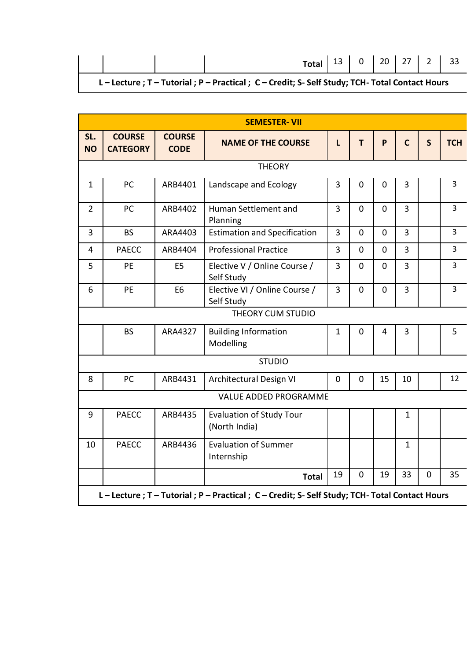|  |  | L - Lecture ; T - Tutorial ; P - Practical ; C - Credit; S- Self Study; TCH- Total Contact Hours |  |  |  |
|--|--|--------------------------------------------------------------------------------------------------|--|--|--|

|                  | <b>SEMESTER-VII</b>                                                                 |                              |                                                  |                |                |                |                |              |                |  |  |
|------------------|-------------------------------------------------------------------------------------|------------------------------|--------------------------------------------------|----------------|----------------|----------------|----------------|--------------|----------------|--|--|
| SL.<br><b>NO</b> | <b>COURSE</b><br><b>CATEGORY</b>                                                    | <b>COURSE</b><br><b>CODE</b> | <b>NAME OF THE COURSE</b>                        | L              | т              | P              | $\mathsf{C}$   | $\mathsf{S}$ | <b>TCH</b>     |  |  |
|                  |                                                                                     |                              | <b>THEORY</b>                                    |                |                |                |                |              |                |  |  |
| $\mathbf{1}$     | PC                                                                                  | ARB4401                      | Landscape and Ecology                            | 3              | $\mathbf 0$    | 0              | $\overline{3}$ |              | 3              |  |  |
| $\overline{2}$   | PC                                                                                  | ARB4402                      | Human Settlement and<br>Planning                 | $\overline{3}$ | $\mathbf 0$    | $\overline{0}$ | $\overline{3}$ |              | $\overline{3}$ |  |  |
| 3                | <b>BS</b>                                                                           | ARA4403                      | <b>Estimation and Specification</b>              | 3              | $\overline{0}$ | $\overline{0}$ | $\overline{3}$ |              | 3              |  |  |
| $\overline{4}$   | <b>PAECC</b>                                                                        | ARB4404                      | <b>Professional Practice</b>                     | 3              | $\overline{0}$ | $\overline{0}$ | 3              |              | 3              |  |  |
| 5                | PE                                                                                  | E <sub>5</sub>               | Elective V / Online Course /<br>Self Study       | 3              | $\mathbf 0$    | $\mathbf 0$    | $\overline{3}$ |              | 3              |  |  |
| 6                | PE                                                                                  | E <sub>6</sub>               | Elective VI / Online Course /<br>Self Study      | 3              | $\mathbf 0$    | $\mathbf 0$    | $\overline{3}$ |              | $\overline{3}$ |  |  |
|                  |                                                                                     |                              | THEORY CUM STUDIO                                |                |                |                |                |              |                |  |  |
|                  | <b>BS</b>                                                                           | ARA4327                      | <b>Building Information</b><br>Modelling         | $\mathbf 1$    | $\mathbf 0$    | 4              | 3              |              | 5              |  |  |
|                  |                                                                                     |                              | <b>STUDIO</b>                                    |                |                |                |                |              |                |  |  |
| 8                | PC                                                                                  | ARB4431                      | Architectural Design VI                          | $\mathbf 0$    | $\mathbf 0$    | 15             | 10             |              | 12             |  |  |
|                  |                                                                                     |                              | <b>VALUE ADDED PROGRAMME</b>                     |                |                |                |                |              |                |  |  |
| 9                | <b>PAECC</b>                                                                        | ARB4435                      | <b>Evaluation of Study Tour</b><br>(North India) |                |                |                | $\mathbf{1}$   |              |                |  |  |
| 10               | <b>PAECC</b>                                                                        | ARB4436                      | <b>Evaluation of Summer</b><br>Internship        |                |                |                | $\mathbf{1}$   |              |                |  |  |
|                  |                                                                                     |                              | <b>Total</b>                                     | 19             | $\mathbf 0$    | 19             | 33             | $\mathbf 0$  | 35             |  |  |
|                  | L-Lecture; T-Tutorial; P-Practical; C-Credit; S-Self Study; TCH-Total Contact Hours |                              |                                                  |                |                |                |                |              |                |  |  |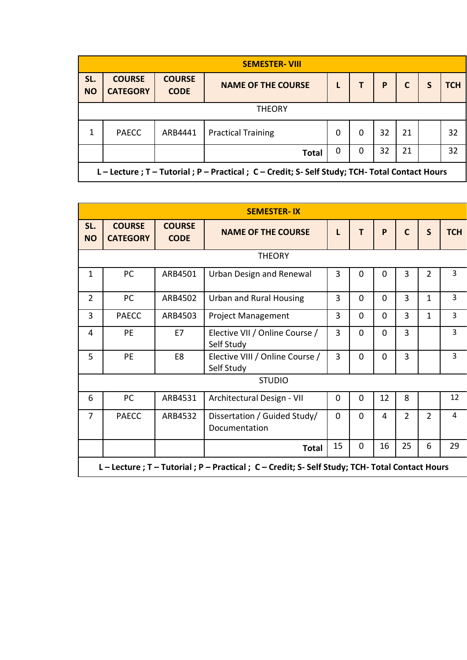| <b>SEMESTER-VIII</b> |                                                                                                  |                              |                           |   |   |    |    |  |     |  |  |  |
|----------------------|--------------------------------------------------------------------------------------------------|------------------------------|---------------------------|---|---|----|----|--|-----|--|--|--|
| SL.<br><b>NO</b>     | <b>COURSE</b><br><b>CATEGORY</b>                                                                 | <b>COURSE</b><br><b>CODE</b> | <b>NAME OF THE COURSE</b> |   |   | P  | С  |  | тсн |  |  |  |
| <b>THEORY</b>        |                                                                                                  |                              |                           |   |   |    |    |  |     |  |  |  |
| 1                    | <b>PAECC</b>                                                                                     | ARB4441                      | <b>Practical Training</b> | 0 | 0 | 32 | 21 |  | 32  |  |  |  |
|                      | 32<br>21<br>32<br>0<br>0<br><b>Total</b>                                                         |                              |                           |   |   |    |    |  |     |  |  |  |
|                      | L - Lecture ; T - Tutorial ; P - Practical ; C - Credit; S- Self Study; TCH- Total Contact Hours |                              |                           |   |   |    |    |  |     |  |  |  |

|                  | <b>SEMESTER-IX</b>                                                                               |                              |                                               |                |          |          |                |                |                |  |  |
|------------------|--------------------------------------------------------------------------------------------------|------------------------------|-----------------------------------------------|----------------|----------|----------|----------------|----------------|----------------|--|--|
| SL.<br><b>NO</b> | <b>COURSE</b><br><b>CATEGORY</b>                                                                 | <b>COURSE</b><br><b>CODE</b> | <b>NAME OF THE COURSE</b>                     | L              | T        | P        | $\mathsf{C}$   | S              | <b>TCH</b>     |  |  |
|                  |                                                                                                  |                              | <b>THEORY</b>                                 |                |          |          |                |                |                |  |  |
| $\mathbf{1}$     | PC                                                                                               | ARB4501                      | Urban Design and Renewal                      | $\overline{3}$ | $\Omega$ | $\Omega$ | $\overline{3}$ | $\overline{2}$ | 3              |  |  |
| $\overline{2}$   | PC                                                                                               | ARB4502                      | <b>Urban and Rural Housing</b>                | 3              | $\Omega$ | $\Omega$ | 3              | $\mathbf{1}$   | $\overline{3}$ |  |  |
| 3                | <b>PAECC</b>                                                                                     | ARB4503                      | <b>Project Management</b>                     | 3              | $\Omega$ | $\Omega$ | $\overline{3}$ | $\mathbf{1}$   | 3              |  |  |
| $\overline{4}$   | <b>PE</b>                                                                                        | E7                           | Elective VII / Online Course /<br>Self Study  | 3              | $\Omega$ | $\Omega$ | $\overline{3}$ |                | $\overline{3}$ |  |  |
| 5                | <b>PE</b>                                                                                        | E8                           | Elective VIII / Online Course /<br>Self Study | $\overline{3}$ | $\Omega$ | $\Omega$ | $\overline{3}$ |                | $\overline{3}$ |  |  |
|                  |                                                                                                  |                              | <b>STUDIO</b>                                 |                |          |          |                |                |                |  |  |
| 6                | PC                                                                                               | ARB4531                      | Architectural Design - VII                    | $\mathbf 0$    | $\Omega$ | 12       | 8              |                | 12             |  |  |
| $\overline{7}$   | <b>PAECC</b>                                                                                     | ARB4532                      | Dissertation / Guided Study/<br>Documentation | $\mathbf 0$    | $\Omega$ | 4        | $\overline{2}$ | $\overline{2}$ | $\overline{4}$ |  |  |
|                  |                                                                                                  |                              | <b>Total</b>                                  | 15             | $\Omega$ | 16       | 25             | 6              | 29             |  |  |
|                  | L - Lecture ; T - Tutorial ; P - Practical ; C - Credit; S- Self Study; TCH- Total Contact Hours |                              |                                               |                |          |          |                |                |                |  |  |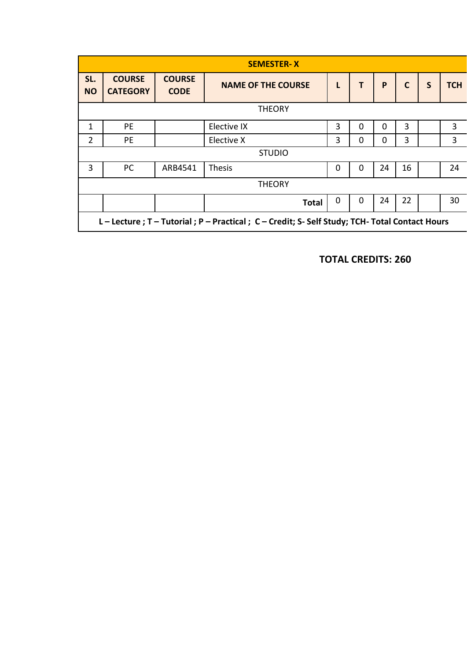|                  |                                  |                              | <b>SEMESTER-X</b>                                                                                |   |          |    |              |   |            |
|------------------|----------------------------------|------------------------------|--------------------------------------------------------------------------------------------------|---|----------|----|--------------|---|------------|
| SL.<br><b>NO</b> | <b>COURSE</b><br><b>CATEGORY</b> | <b>COURSE</b><br><b>CODE</b> | <b>NAME OF THE COURSE</b>                                                                        | L | T        | P  | $\mathsf{C}$ | S | <b>TCH</b> |
|                  |                                  |                              | <b>THEORY</b>                                                                                    |   |          |    |              |   |            |
| 1                | <b>PE</b>                        |                              | Elective IX                                                                                      | 3 | 0        | 0  | 3            |   | 3          |
| $\overline{2}$   | PE                               |                              | Elective X                                                                                       | 3 | 0        | 0  | 3            |   | 3          |
|                  |                                  |                              | <b>STUDIO</b>                                                                                    |   |          |    |              |   |            |
| 3                | PC                               | ARB4541                      | <b>Thesis</b>                                                                                    | 0 | $\Omega$ | 24 | 16           |   | 24         |
|                  |                                  |                              | <b>THEORY</b>                                                                                    |   |          |    |              |   |            |
|                  |                                  |                              | <b>Total</b>                                                                                     | 0 | 0        | 24 | 22           |   | 30         |
|                  |                                  |                              | L - Lecture ; T - Tutorial ; P - Practical ; C - Credit; S- Self Study; TCH- Total Contact Hours |   |          |    |              |   |            |

**TOTAL CREDITS: 260**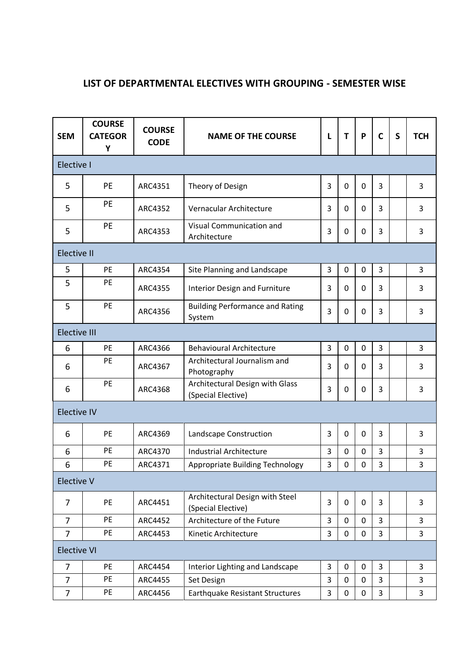# **LIST OF DEPARTMENTAL ELECTIVES WITH GROUPING - SEMESTER WISE**

| <b>SEM</b>          | <b>COURSE</b><br><b>CATEGOR</b><br>Y | <b>COURSE</b><br><b>CODE</b> | <b>NAME OF THE COURSE</b><br>L                        |   | T           | P           | $\mathsf{C}$ | S | <b>TCH</b>     |
|---------------------|--------------------------------------|------------------------------|-------------------------------------------------------|---|-------------|-------------|--------------|---|----------------|
| Elective I          |                                      |                              |                                                       |   |             |             |              |   |                |
| 5                   | <b>PE</b>                            | ARC4351                      | Theory of Design                                      | 3 | 0           | $\mathbf 0$ | 3            |   | 3              |
| 5                   | PE                                   | ARC4352                      | Vernacular Architecture                               | 3 | 0           | 0           | 3            |   | 3              |
| 5                   | PE                                   | ARC4353                      | Visual Communication and<br>Architecture              | 3 | 0           | $\mathbf 0$ | 3            |   | 3              |
| <b>Elective II</b>  |                                      |                              |                                                       |   |             |             |              |   |                |
| 5                   | PE                                   | ARC4354                      | Site Planning and Landscape                           | 3 | $\mathbf 0$ | $\mathbf 0$ | 3            |   | 3              |
| 5                   | PE                                   | ARC4355                      | Interior Design and Furniture                         | 3 | 0           | $\mathbf 0$ | 3            |   | 3              |
| 5                   | PE                                   | ARC4356                      | <b>Building Performance and Rating</b><br>System      | 3 | 0           | 0           | 3            |   | 3              |
| <b>Elective III</b> |                                      |                              |                                                       |   |             |             |              |   |                |
| 6                   | PE                                   | ARC4366                      | <b>Behavioural Architecture</b>                       | 3 | $\mathbf 0$ | 0           | 3            |   | 3              |
| 6                   | PE                                   | ARC4367                      | Architectural Journalism and<br>Photography           | 3 | 0           | 0           | 3            |   | 3              |
| 6                   | PE                                   | ARC4368                      | Architectural Design with Glass<br>(Special Elective) | 3 | 0           | $\mathbf 0$ | 3            |   | 3              |
| <b>Elective IV</b>  |                                      |                              |                                                       |   |             |             |              |   |                |
| 6                   | PE                                   | ARC4369                      | Landscape Construction                                | 3 | 0           | $\mathbf 0$ | 3            |   | 3              |
| 6                   | PE                                   | ARC4370                      | <b>Industrial Architecture</b>                        | 3 | 0           | 0           | 3            |   | 3              |
| 6                   | PE                                   | ARC4371                      | Appropriate Building Technology                       | 3 | 0           | 0           | 3            |   | 3              |
| <b>Elective V</b>   |                                      |                              |                                                       |   |             |             |              |   |                |
| $\overline{7}$      | PE                                   | ARC4451                      | Architectural Design with Steel<br>(Special Elective) | 3 | 0           | $\mathbf 0$ | 3            |   | 3              |
| $\overline{7}$      | PE                                   | ARC4452                      | Architecture of the Future                            | 3 | 0           | 0           | 3            |   | 3              |
| $\overline{7}$      | PE                                   | ARC4453                      | Kinetic Architecture                                  | 3 | $\mathbf 0$ | 0           | 3            |   | 3              |
| <b>Elective VI</b>  |                                      |                              |                                                       |   |             |             |              |   |                |
| $\overline{7}$      | PE                                   | ARC4454                      | Interior Lighting and Landscape                       | 3 | 0           | 0           | 3            |   | 3              |
| $\overline{7}$      | PE                                   | ARC4455                      | Set Design                                            | 3 | $\mathbf 0$ | $\mathbf 0$ | 3            |   | 3              |
| $\overline{7}$      | PE                                   | ARC4456                      | Earthquake Resistant Structures                       | 3 | $\mathbf 0$ | 0           | 3            |   | $\overline{3}$ |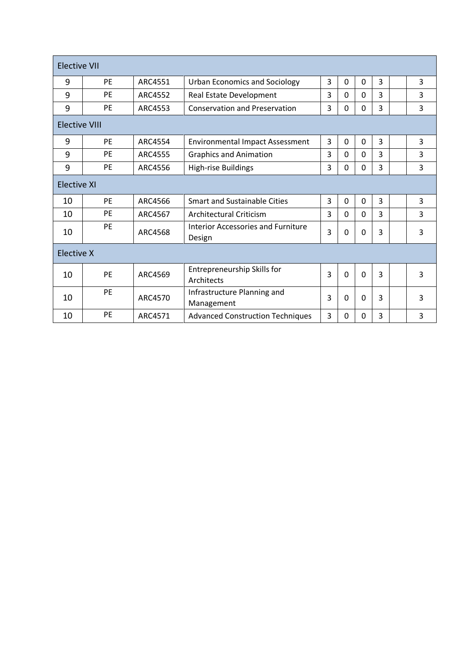| <b>Elective VII</b>  |           |                |                                              |   |          |             |   |   |
|----------------------|-----------|----------------|----------------------------------------------|---|----------|-------------|---|---|
| 9                    | <b>PF</b> | ARC4551        | <b>Urban Economics and Sociology</b>         | 3 | 0        | $\Omega$    | 3 | 3 |
| 9                    | PF        | ARC4552        | Real Estate Development                      | 3 | 0        | 0           | 3 | 3 |
| 9                    | <b>PE</b> | ARC4553        | <b>Conservation and Preservation</b>         | 3 | 0        | 0           | 3 | 3 |
| <b>Elective VIII</b> |           |                |                                              |   |          |             |   |   |
| 9                    | <b>PE</b> | ARC4554        | <b>Environmental Impact Assessment</b>       | 3 | 0        | 0           | 3 | 3 |
| 9                    | PE        | <b>ARC4555</b> | <b>Graphics and Animation</b>                | 3 | $\Omega$ | $\Omega$    | 3 | 3 |
| 9                    | <b>PE</b> | ARC4556        | <b>High-rise Buildings</b>                   | 3 | 0        | 0           | 3 | 3 |
| <b>Elective XI</b>   |           |                |                                              |   |          |             |   |   |
| 10                   | <b>PE</b> | ARC4566        | <b>Smart and Sustainable Cities</b>          | 3 | 0        | 0           | 3 | 3 |
| 10                   | <b>PE</b> | ARC4567        | Architectural Criticism                      | 3 | $\Omega$ | 0           | 3 | 3 |
| 10                   | PE        | ARC4568        | Interior Accessories and Furniture<br>Design | 3 | 0        | 0           | 3 | 3 |
| Elective X           |           |                |                                              |   |          |             |   |   |
| 10                   | <b>PE</b> | ARC4569        | Entrepreneurship Skills for<br>Architects    | 3 | 0        | 0           | 3 | 3 |
| 10                   | PE        | ARC4570        | Infrastructure Planning and<br>Management    | 3 | 0        | $\mathbf 0$ | 3 | 3 |
| 10                   | PE        | ARC4571        | <b>Advanced Construction Techniques</b>      | 3 | 0        | 0           | 3 | 3 |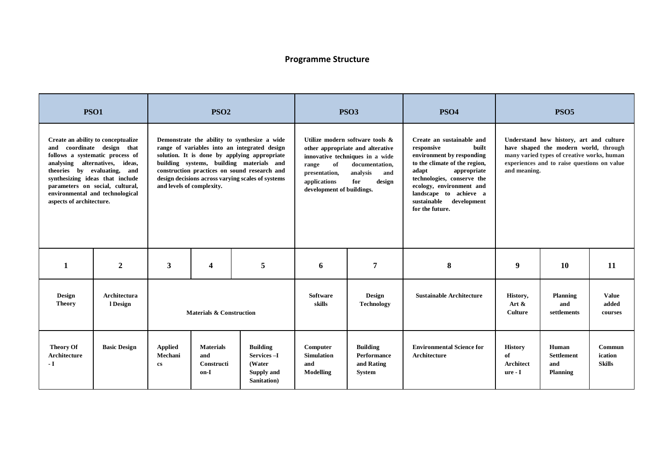# **Programme Structure**

|                                                | <b>PSO1</b>                                                                                                                                                                                                                                                                   |                                                     | PSO <sub>2</sub>                                     |                                                                                                                                                                                                                                                                                               | PSO <sub>3</sub><br><b>PSO4</b>                                           |                                                                                                                                                              |                                                                                                                                                                                                                                                                          | <b>PSO5</b>                                  |                                                                                                                                                                               |                                    |
|------------------------------------------------|-------------------------------------------------------------------------------------------------------------------------------------------------------------------------------------------------------------------------------------------------------------------------------|-----------------------------------------------------|------------------------------------------------------|-----------------------------------------------------------------------------------------------------------------------------------------------------------------------------------------------------------------------------------------------------------------------------------------------|---------------------------------------------------------------------------|--------------------------------------------------------------------------------------------------------------------------------------------------------------|--------------------------------------------------------------------------------------------------------------------------------------------------------------------------------------------------------------------------------------------------------------------------|----------------------------------------------|-------------------------------------------------------------------------------------------------------------------------------------------------------------------------------|------------------------------------|
| aspects of architecture.                       | Create an ability to conceptualize<br>and coordinate design that<br>follows a systematic process of<br>analysing alternatives, ideas,<br>theories by evaluating, and<br>synthesizing ideas that include<br>parameters on social, cultural,<br>environmental and technological | and levels of complexity.                           |                                                      | Demonstrate the ability to synthesize a wide<br>range of variables into an integrated design<br>solution. It is done by applying appropriate<br>building systems, building materials and<br>construction practices on sound research and<br>design decisions across varying scales of systems | of<br>range<br>presentation,<br>applications<br>development of buildings. | Utilize modern software tools &<br>other appropriate and alterative<br>innovative techniques in a wide<br>documentation,<br>analysis<br>and<br>for<br>design | Create an sustainable and<br>built<br>responsive<br>environment by responding<br>to the climate of the region,<br>adapt<br>appropriate<br>technologies, conserve the<br>ecology, environment and<br>landscape to achieve a<br>sustainable development<br>for the future. | and meaning.                                 | Understand how history, art and culture<br>have shaped the modern world, through<br>many varied types of creative works, human<br>experiences and to raise questions on value |                                    |
| 1                                              | $\boldsymbol{2}$                                                                                                                                                                                                                                                              | 3                                                   | $\boldsymbol{4}$                                     | 5                                                                                                                                                                                                                                                                                             | 6                                                                         | 7                                                                                                                                                            | 8                                                                                                                                                                                                                                                                        | 9                                            | <b>10</b>                                                                                                                                                                     | 11                                 |
| Design<br><b>Theory</b>                        | <b>Architectura</b><br>l Design                                                                                                                                                                                                                                               |                                                     | <b>Materials &amp; Construction</b>                  |                                                                                                                                                                                                                                                                                               | <b>Software</b><br>skills                                                 | <b>Design</b><br><b>Technology</b>                                                                                                                           | <b>Sustainable Architecture</b>                                                                                                                                                                                                                                          | History,<br>Art $\&$<br><b>Culture</b>       | <b>Planning</b><br>and<br>settlements                                                                                                                                         | <b>Value</b><br>added<br>courses   |
| <b>Theory Of</b><br><b>Architecture</b><br>- I | <b>Basic Design</b>                                                                                                                                                                                                                                                           | <b>Applied</b><br>Mechani<br>$\mathbf{c}\mathbf{s}$ | <b>Materials</b><br>and<br><b>Constructi</b><br>on-I | <b>Building</b><br>Services-I<br>(Water<br>Supply and<br>Sanitation)                                                                                                                                                                                                                          | Computer<br><b>Simulation</b><br>and<br><b>Modelling</b>                  | <b>Building</b><br><b>Performance</b><br>and Rating<br><b>System</b>                                                                                         | <b>Environmental Science for</b><br><b>Architecture</b>                                                                                                                                                                                                                  | <b>History</b><br>of<br>Architect<br>ure - I | Human<br><b>Settlement</b><br>and<br>Planning                                                                                                                                 | Commun<br>ication<br><b>Skills</b> |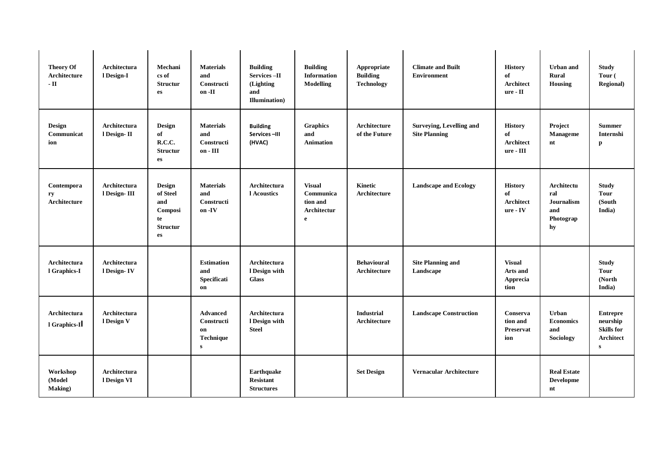| <b>Theory Of</b><br>Architecture<br>$-II$ | <b>Architectura</b><br>l Design-I  | Mechani<br>cs of<br><b>Structur</b><br>es                           | <b>Materials</b><br>and<br>Constructi<br>on -II                  | <b>Building</b><br><b>Services-II</b><br>(Lighting)<br>and<br><b>Illumination</b> ) | <b>Building</b><br><b>Information</b><br>Modelling         | Appropriate<br><b>Building</b><br><b>Technology</b> | <b>Climate and Built</b><br><b>Environment</b>   | <b>History</b><br>of<br><b>Architect</b><br>ure - II  | <b>Urban</b> and<br><b>Rural</b><br>Housing               | <b>Study</b><br>Tour (<br><b>Regional</b> )                                   |
|-------------------------------------------|------------------------------------|---------------------------------------------------------------------|------------------------------------------------------------------|-------------------------------------------------------------------------------------|------------------------------------------------------------|-----------------------------------------------------|--------------------------------------------------|-------------------------------------------------------|-----------------------------------------------------------|-------------------------------------------------------------------------------|
| <b>Design</b><br>Communicat<br>ion        | Architectura<br>l Design-II        | <b>Design</b><br>of<br>R.C.C.<br><b>Structur</b><br>es              | <b>Materials</b><br>and<br>Constructi<br>on - III                | <b>Building</b><br>Services-III<br>(HVAC)                                           | <b>Graphics</b><br>and<br><b>Animation</b>                 | Architecture<br>of the Future                       | Surveying, Levelling and<br><b>Site Planning</b> | <b>History</b><br>of<br><b>Architect</b><br>ure - III | Project<br>Manageme<br>nt                                 | <b>Summer</b><br>Internshi<br>p                                               |
| Contempora<br>ry<br>Architecture          | Architectura<br>l Design-III       | Design<br>of Steel<br>and<br>Composi<br>te<br><b>Structur</b><br>es | <b>Materials</b><br>and<br>Constructi<br>on -IV                  | <b>Architectura</b><br>1 Acoustics                                                  | <b>Visual</b><br>Communica<br>tion and<br>Architectur<br>e | <b>Kinetic</b><br>Architecture                      | <b>Landscape and Ecology</b>                     | <b>History</b><br>of<br>Architect<br>$ure - IV$       | Architectu<br>ral<br>Journalism<br>and<br>Photograp<br>hy | <b>Study</b><br><b>Tour</b><br>(South<br>India)                               |
| <b>Architectura</b><br>l Graphics-I       | <b>Architectura</b><br>l Design-IV |                                                                     | <b>Estimation</b><br>and<br>Specificati<br>on                    | <b>Architectura</b><br>l Design with<br><b>Glass</b>                                |                                                            | <b>Behavioural</b><br>Architecture                  | <b>Site Planning and</b><br>Landscape            | <b>Visual</b><br>Arts and<br>Apprecia<br>tion         |                                                           | <b>Study</b><br><b>Tour</b><br>(North<br>India)                               |
| Architectura<br>1 Graphics-II             | <b>Architectura</b><br>l Design V  |                                                                     | <b>Advanced</b><br>Constructi<br>on<br>Technique<br>$\mathbf{s}$ | <b>Architectura</b><br>l Design with<br><b>Steel</b>                                |                                                            | <b>Industrial</b><br>Architecture                   | <b>Landscape Construction</b>                    | Conserva<br>tion and<br>Preservat<br>ion              | <b>Urban</b><br><b>Economics</b><br>and<br>Sociology      | <b>Entrepre</b><br>neurship<br><b>Skills</b> for<br>Architect<br>$\mathbf{s}$ |
| Workshop<br>(Model<br>Making)             | Architectura<br>l Design VI        |                                                                     |                                                                  | Earthquake<br><b>Resistant</b><br><b>Structures</b>                                 |                                                            | <b>Set Design</b>                                   | Vernacular Architecture                          |                                                       | <b>Real Estate</b><br>Developme<br>nt                     |                                                                               |